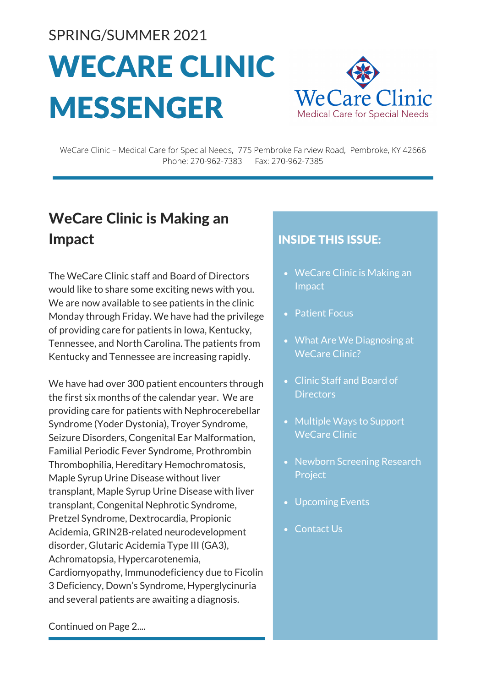SPRING/SUMMER 2021

# WECARE CLINIC MESSENGER



WeCare Clinic – Medical Care for Special Needs, 775 Pembroke Fairview Road, Pembroke, KY 42666 Phone: 270-962-7383 Fax: 270-962-7385

# WeCare Clinic is Making an Impact

The WeCare Clinic staff and Board of Directors would like to share some exciting news with you. We are now available to see patients in the clinic Monday through Friday. We have had the privilege of providing care for patients in Iowa, Kentucky, Tennessee, and North Carolina. The patients from Kentucky and Tennessee are increasing rapidly.

We have had over 300 patient encounters through the first six months of the calendar year. We are providing care for patients with Nephrocerebellar Syndrome (Yoder Dystonia), Troyer Syndrome, Seizure Disorders, Congenital Ear Malformation, Familial Periodic Fever Syndrome, Prothrombin Thrombophilia, Hereditary Hemochromatosis, Maple Syrup Urine Disease without liver transplant, Maple Syrup Urine Disease with liver transplant, Congenital Nephrotic Syndrome, Pretzel Syndrome, Dextrocardia, Propionic Acidemia, GRIN2B-related neurodevelopment disorder, Glutaric Acidemia Type III (GA3), Achromatopsia, Hypercarotenemia, Cardiomyopathy, Immunodeficiency due to Ficolin 3 Deficiency, Down's Syndrome, Hyperglycinuria and several patients are awaiting a diagnosis.

# INSIDE THIS ISSUE:

- WeCare Clinic is Making an Impact
- Patient Focus
- What Are We Diagnosing at WeCare Clinic?
- Clinic Staff and Board of **Directors**
- Multiple Ways to Support WeCare Clinic
- Newborn Screening Research Project
- Upcoming Events
- Contact Us

Continued on Page 2....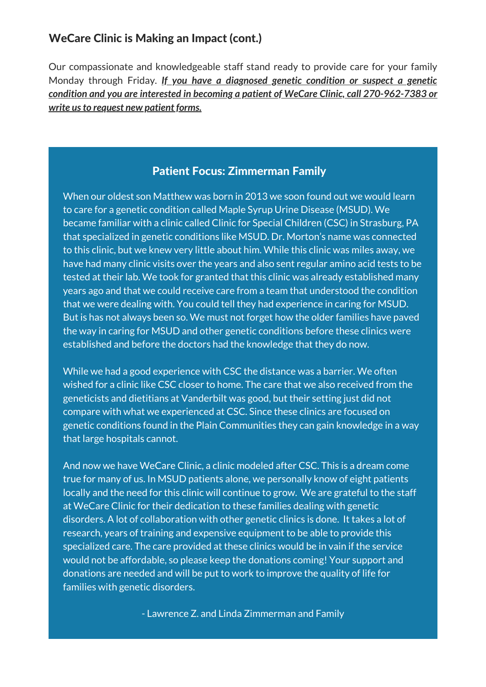#### WeCare Clinic is Making an Impact (cont.)

Our compassionate and knowledgeable staff stand ready to provide care for your family Monday through Friday. *If you have a diagnosed genetic condition or suspect a genetic condition and you are interested in becoming a patient of WeCare Clinic, call 270-962-7383 or write usto request new patient forms.*

#### Patient Focus: Zimmerman Family

When our oldest son Matthew was born in 2013 we soon found out we would learn to care for a genetic condition called Maple Syrup Urine Disease (MSUD). We became familiar with a clinic called Clinic for Special Children (CSC) in Strasburg, PA that specialized in genetic conditions like MSUD. Dr. Morton's name was connected to this clinic, but we knew very little about him. While this clinic was miles away, we have had many clinic visits over the years and also sent regular amino acid tests to be tested at their lab. We took for granted that this clinic was already established many years ago and that we could receive care from a team that understood the condition that we were dealing with. You could tell they had experience in caring for MSUD. But is has not always been so. We must not forget how the older families have paved the way in caring for MSUD and other genetic conditions before these clinics were established and before the doctors had the knowledge that they do now.

While we had a good experience with CSC the distance was a barrier. We often wished for a clinic like CSC closer to home. The care that we also received from the geneticists and dietitians at Vanderbilt was good, but their setting just did not compare with what we experienced at CSC. Since these clinics are focused on genetic conditions found in the Plain Communities they can gain knowledge in a way that large hospitals cannot.

And now we have WeCare Clinic, a clinic modeled after CSC. This is a dream come true for many of us. In MSUD patients alone, we personally know of eight patients locally and the need for this clinic will continue to grow. We are grateful to the staff at WeCare Clinic for their dedication to these families dealing with genetic disorders. A lot of collaboration with other genetic clinics is done. It takes a lot of research, years of training and expensive equipment to be able to provide this specialized care. The care provided at these clinics would be in vain if the service would not be affordable, so please keep the donations coming! Your support and donations are needed and will be put to work to improve the quality of life for families with genetic disorders.

- Lawrence Z. and Linda Zimmerman and Family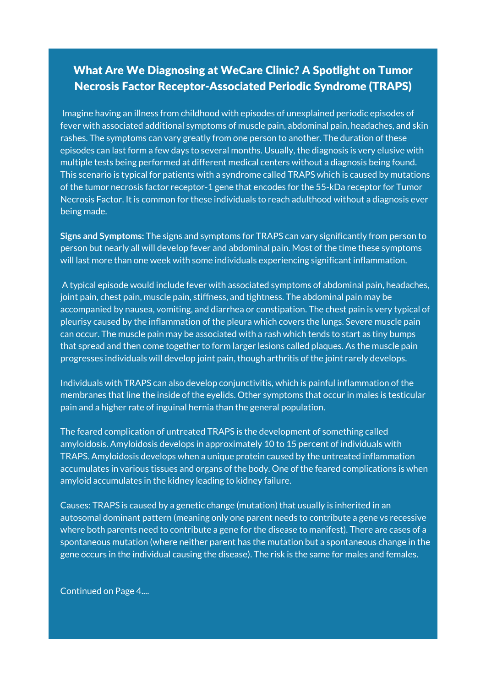# What Are We Diagnosing at WeCare Clinic? A Spotlight on Tumor Necrosis Factor Receptor-Associated Periodic Syndrome (TRAPS)

Imagine having an illness from childhood with episodes of unexplained periodic episodes of fever with associated additional symptoms of muscle pain, abdominal pain, headaches, and skin rashes. The symptoms can vary greatly from one person to another. The duration of these episodes can last form a few days to several months. Usually, the diagnosis is very elusive with multiple tests being performed at different medical centers without a diagnosis being found. This scenario is typical for patients with a syndrome called TRAPS which is caused by mutations of the tumor necrosis factor receptor-1 gene that encodes for the 55-kDa receptor for Tumor Necrosis Factor. It is common for these individuals to reach adulthood without a diagnosis ever being made.

**Signs and Symptoms:** The signs and symptoms for TRAPS can vary significantly from person to person but nearly all will develop fever and abdominal pain. Most of the time these symptoms will last more than one week with some individuals experiencing significant inflammation.

joint pain, chest pain, muscle pain, stiffness, and tightness. The abdominal pain may be accompanied by nausea, vomiting, and diarrhea or constipation. The chest pain is very typical of product y caused by the immunitiation of the predia which covers the rangs. Severe muser are back in time from a schedule procedure. The international control to and they are will be and they are will be and they are will be and they are will be and they are will be an international control of the parties of t schedule to do in the use of the initial domain to do the intervely dependence to do not the initial series of the initial series of the initial series of the initial series of the initial series of the initial series of t A typical episode would include fever with associated symptoms of abdominal pain, headaches, pleurisy caused by the inflammation of the pleura which covers the lungs. Severe muscle pain can occur. The muscle pain may be associated with a rash which tends to start as tiny bumps that spread and then come together to form larger lesions called plaques. As the muscle pain<br>that spread and then come together to form larger lesions called plaques. As the muscle pain progresses individuals will develop joint pain, though arthritis of the joint rarely develops.<br>.

Individuals with TRAPS can also develop conjunctivitis, which is painful inflammation of the membranes that line the inside of the eyelids. Other symptoms that occur in males is testicular pain and a higher rate of inguinal hernia than the general population.

The feared complication of untreated TRAPS is the development of something called amyloidosis. Amyloidosis develops in approximately 10 to 15 percent of individuals with TRAPS. Amyloidosis develops when a unique protein caused by the untreated inflammation accumulates in various tissues and organs of the body. One of the feared complications is when amyloid accumulates in the kidney leading to kidney failure.

Causes: TRAPS is caused by a genetic change (mutation) that usually is inherited in an autosomal dominant pattern (meaning only one parent needs to contribute a gene vs recessive where both parents need to contribute a gene for the disease to manifest). There are cases of a spontaneous mutation (where neither parent has the mutation but a spontaneous change in the gene occurs in the individual causing the disease). The risk is the same for males and females.

Continued on Page 4....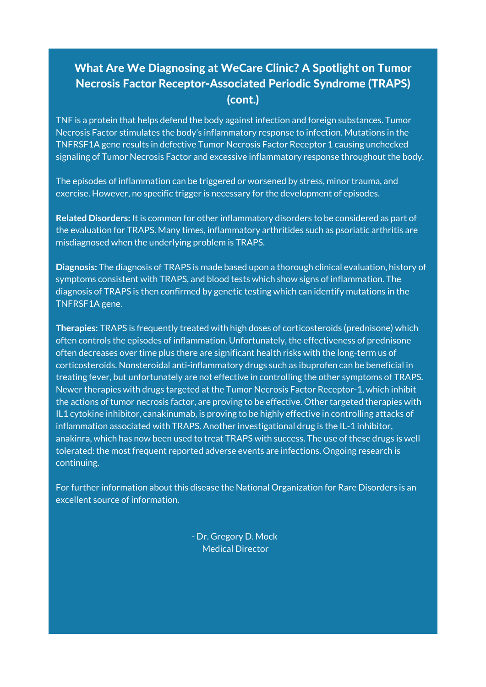# What Are We Diagnosing at WeCare Clinic? A Spotlight on Tumor Necrosis Factor Receptor-Associated Periodic Syndrome (TRAPS) (cont.)

TNF is a protein that helps defend the body against infection and foreign substances. Tumor Necrosis Factor stimulates the body's inflammatory response to infection. Mutations in the TNFRSF1A gene results in defective Tumor Necrosis Factor Receptor 1 causing unchecked signaling of Tumor Necrosis Factor and excessive inflammatory response throughout the body.

The episodes of inflammation can be triggered or worsened by stress, minor trauma, and exercise. However, no specific trigger is necessary for the development of episodes.

**Related Disorders:** It is common for other inflammatory disorders to be considered as part of the evaluation for TRAPS. Many times, inflammatory arthritides such as psoriatic arthritis are misdiagnosed when the underlying problem is TRAPS.

**Diagnosis:** The diagnosis of TRAPS is made based upon a thorough clinical evaluation, history of symptoms consistent with TRAPS, and blood tests which show signs of inflammation. The diagnosis of TRAPS is then confirmed by genetic testing which can identify mutations in the TNFRSF1A gene.

**Therapies:** TRAPS is frequently treated with high doses of corticosteroids (prednisone) which often controls the episodes of inflammation. Unfortunately, the effectiveness of prednisone often decreases over time plus there are significant health risks with the long-term us of corticosteroids. Nonsteroidal anti-inflammatory drugs such as ibuprofen can be beneficial in treating fever, but unfortunately are not effective in controlling the other symptoms of TRAPS. Newer therapies with drugs targeted at the Tumor Necrosis Factor Receptor-1, which inhibit the actions of tumor necrosis factor, are proving to be effective. Other targeted therapies with IL1 cytokine inhibitor, canakinumab, is proving to be highly effective in controlling attacks of inflammation associated with TRAPS. Another investigational drug is the IL-1 inhibitor, anakinra, which has now been used to treat TRAPS with success. The use of these drugs is well tolerated: the most frequent reported adverse events are infections. Ongoing research is continuing.

For further information about this disease the National Organization for Rare Disorders is an excellent source of information.

> - Dr. Gregory D. Mock Medical Director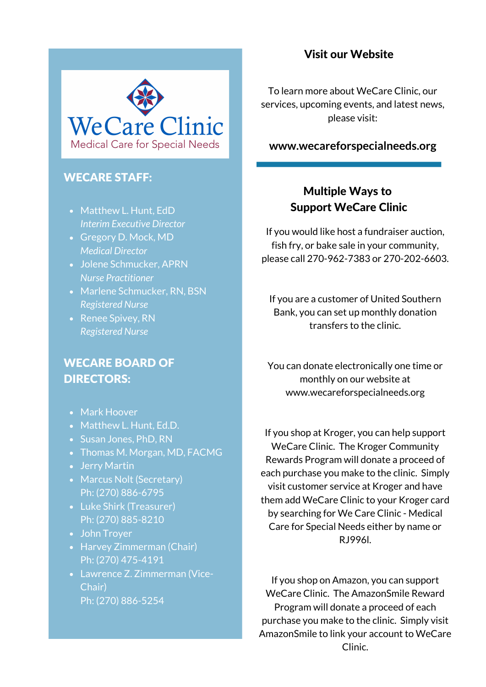

#### WECARE STAFF:

- Matthew L. Hunt, EdD *Interim Executive Director*
- Gregory D. Mock, MD *Medical Director*
- Jolene Schmucker, APRN *Nurse Practitioner*
- Marlene Schmucker, RN, BSN *Registered Nurse*
- Renee Spivey, RN *Registered Nurse*

#### WECARE BOARD OF DIRECTORS:

- Mark Hoover
- Matthew L. Hunt, Ed.D.
- Susan Jones, PhD, RN
- Thomas M. Morgan, MD, FACMG
- Jerry Martin
- Marcus Nolt (Secretary) Ph: (270) 886-6795
- Luke Shirk (Treasurer) Ph: (270) 885-8210
- John Troyer
- Harvey Zimmerman (Chair) Ph: (270) 475-4191
- Lawrence Z. Zimmerman (Vice-Chair) Ph: (270) 886-5254

#### Visit our Website

To learn more about WeCare Clinic, our services, upcoming events, and latest news, please visit:

#### **www.[wecareforspecialneeds.org](https://www.wecareforspecialneeds.org/)**

#### Multiple Ways to Support WeCare Clinic

If you would like host a fundraiser auction, fish fry, or bake sale in your community, please call 270-962-7383 or 270-202-6603.

If you are a customer of United Southern Bank, you can set up monthly donation transfers to the clinic.

You can donate electronically one time or monthly on our website at www.wecareforspecialneeds.org

If you shop at Kroger, you can help support WeCare Clinic. The Kroger Community Rewards Program will donate a proceed of each purchase you make to the clinic. Simply visit customer service at Kroger and have them add WeCare Clinic to your Kroger card by searching for We Care Clinic - Medical Care for Special Needs either by name or RJ996l.

If you shop on Amazon, you can support WeCare Clinic. The AmazonSmile Reward Program will donate a proceed of each purchase you make to the clinic. Simply visit AmazonSmile to link your account to WeCare Clinic.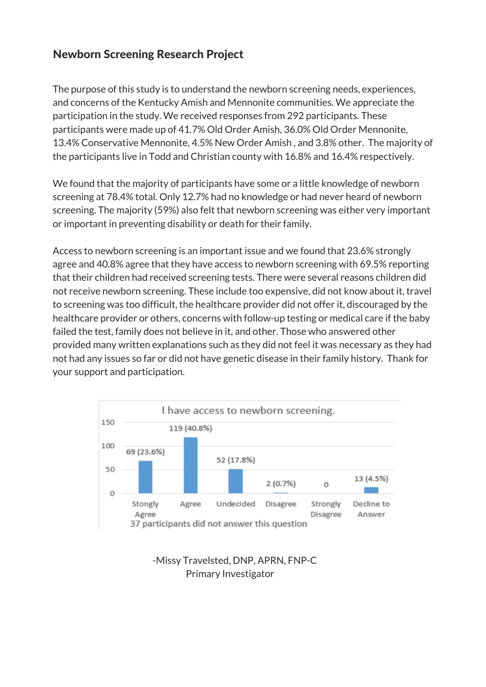#### Newborn Screening Research Project

The purpose of this study is to understand the newborn screening needs, experiences, and concerns of the Kentucky Amish and Mennonite communities. We appreciate the participation in the study. We received responses from 292 participants. These participants were made up of 41.7% Old Order Amish, 36.0% Old Order Mennonite, 13.4% Conservative Mennonite, 4.5% New Order Amish , and 3.8% other. The majority of the participants live in Todd and Christian county with 16.8% and 16.4% respectively.

We found that the majority of participants have some or a little knowledge of newborn screening at 78.4% total. Only 12.7% had no knowledge or had never heard of newborn screening. The majority (59%) also felt that newborn screening was either very important or important in preventing disability or death for their family.

Access to newborn screening is an important issue and we found that 23.6% strongly agree and 40.8% agree that they have access to newborn screening with 69.5% reporting that their children had received screening tests. There were several reasons children did not receive newborn screening. These include too expensive, did not know about it, travel to screening was too difficult, the healthcare provider did not offer it, discouraged by the healthcare provider or others, concerns with follow-up testing or medical care if the baby failed the test, family does not believe in it, and other. Those who answered other provided many written explanations such as they did not feel it was necessary as they had not had any issues so far or did not have genetic disease in their family history. Thank for your support and participation.



#### -Missy Travelsted, DNP, APRN, FNP-C Primary Investigator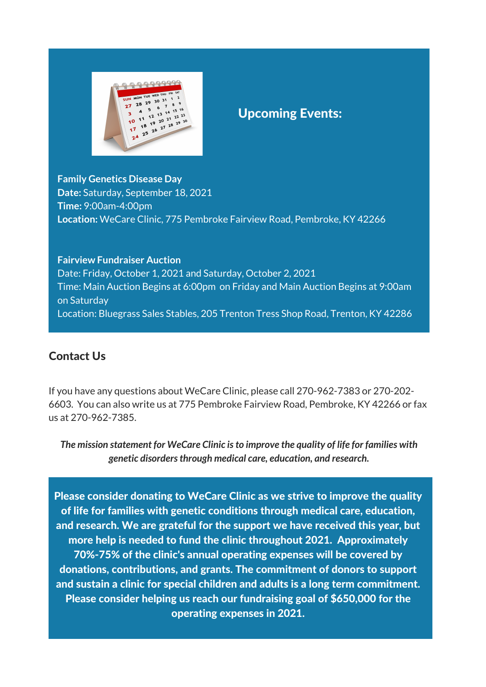

### Upcoming Events:

**Family Genetics Disease Day Date:** Saturday, September 18, 2021 **Time:** 9:00am-4:00pm **Location:** WeCare Clinic, 775 Pembroke Fairview Road, Pembroke, KY 42266

#### **Fairview Fundraiser Auction**

Date: Friday, October 1, 2021 and Saturday, October 2, 2021 Time: Main Auction Begins at 6:00pm on Friday and Main Auction Begins at 9:00am on Saturday Location: Bluegrass Sales Stables, 205 Trenton Tress Shop Road, Trenton, KY 42286

#### Contact Us

If you have any questions about WeCare Clinic, please call 270-962-7383 or 270-202- 6603. You can also write us at 775 Pembroke Fairview Road, Pembroke, KY 42266 or fax us at 270-962-7385.

*The mission statement for WeCare Clinic isto improve the quality of life for families with genetic disordersthrough medical care, education, and research.*

Please consider donating to WeCare Clinic as we strive to improve the quality of life for families with genetic conditions through medical care, education, and research. We are grateful for the support we have received this year, but more help is needed to fund the clinic throughout 2021. Approximately 70%-75% of the clinic's annual operating expenses will be covered by donations, contributions, and grants. The commitment of donors to support and sustain a clinic for special children and adults is a long term commitment. Please consider helping us reach our fundraising goal of \$650,000 for the operating expenses in 2021.